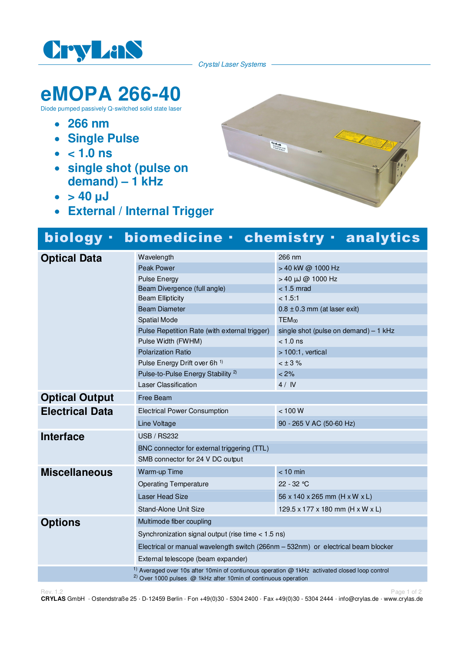

Crystal Laser Systems

 $\begin{array}{c} \mathbf{C}_{\mathbf{r},\mathbf{y}} \mathbf{I}_{\mathbf{u},\mathbf{y}} \\ \mathbf{C}_{\mathbf{u},\mathbf{u},\mathbf{y},\mathbf{y}} \mathbf{I}_{\mathbf{u},\mathbf{y}} \\ \mathbf{C}_{\mathbf{u},\mathbf{u},\mathbf{y},\mathbf{y},\mathbf{y}} \mathbf{I}_{\mathbf{u},\mathbf{y}} \\ \mathbf{A}_{\mathbf{u},\mathbf{y},\mathbf{y},\mathbf{y},\mathbf{y},\mathbf{y}} \end{array}$ 

## **eMOPA 266-40**

Diode pumped passively Q-switched solid state laser

- **266 nm**
- **Single Pulse**
- $\bullet$  < 1.0 ns
- **single shot (pulse on demand) – 1 kHz**
- $\bullet$  > 40  $\mu$ J
- **External / Internal Trigger**

## biology · biomedicine · chemistry · analytics

| <b>Optical Data</b>    | Wavelength                                                                                                 | 266 nm                                 |
|------------------------|------------------------------------------------------------------------------------------------------------|----------------------------------------|
|                        | <b>Peak Power</b>                                                                                          | > 40 kW @ 1000 Hz                      |
|                        | <b>Pulse Energy</b>                                                                                        | > 40 µJ @ 1000 Hz                      |
|                        | Beam Divergence (full angle)                                                                               | $<$ 1.5 mrad                           |
|                        | <b>Beam Ellipticity</b>                                                                                    | < 1.5:1                                |
|                        | <b>Beam Diameter</b>                                                                                       | $0.8 \pm 0.3$ mm (at laser exit)       |
|                        | Spatial Mode                                                                                               | TEM <sub>00</sub>                      |
|                        | Pulse Repetition Rate (with external trigger)                                                              | single shot (pulse on demand) $-1$ kHz |
|                        | Pulse Width (FWHM)                                                                                         | $< 1.0$ ns                             |
|                        | <b>Polarization Ratio</b>                                                                                  | $>100:1$ , vertical                    |
|                        | Pulse Energy Drift over 6h <sup>1)</sup>                                                                   | $< \pm 3 \%$                           |
|                        | Pulse-to-Pulse Energy Stability <sup>2)</sup>                                                              | $< 2\%$                                |
|                        | Laser Classification                                                                                       | 4/1V                                   |
| <b>Optical Output</b>  | Free Beam                                                                                                  |                                        |
| <b>Electrical Data</b> | <b>Electrical Power Consumption</b>                                                                        | < 100 W                                |
|                        | Line Voltage                                                                                               | 90 - 265 V AC (50-60 Hz)               |
| <b>Interface</b>       | <b>USB / RS232</b>                                                                                         |                                        |
|                        | BNC connector for external triggering (TTL)                                                                |                                        |
|                        | SMB connector for 24 V DC output                                                                           |                                        |
| <b>Miscellaneous</b>   | Warm-up Time                                                                                               | $< 10$ min                             |
|                        | <b>Operating Temperature</b>                                                                               | $22 - 32 °C$                           |
|                        | Laser Head Size                                                                                            | 56 x 140 x 265 mm (H x W x L)          |
|                        | Stand-Alone Unit Size                                                                                      | 129.5 x 177 x 180 mm (H x W x L)       |
| <b>Options</b>         | Multimode fiber coupling                                                                                   |                                        |
|                        | Synchronization signal output (rise time $<$ 1.5 ns)                                                       |                                        |
|                        | Electrical or manual wavelength switch (266nm - 532nm) or electrical beam blocker                          |                                        |
|                        | External telescope (beam expander)                                                                         |                                        |
|                        | <sup>1)</sup> Averaged over 10s after 10min of contiunous operation $@$ 1kHz activated closed loop control |                                        |
|                        | <sup>2)</sup> Over 1000 pulses $\omega$ 1kHz after 10min of continuous operation                           |                                        |

Rev. 1.2 Page 1 of 2 Page 1 of 2 Page 1 of 2 Page 1 of 2 Page 1 of 2 Page 1 of 2 Page 1 of 2 Page 1 of 2 Page 1 **CRYLAS** GmbH · Ostendstraße 25 · D-12459 Berlin · Fon +49(0)30 - 5304 2400 · Fax +49(0)30 - 5304 2444 · info@crylas.de · www.crylas.de